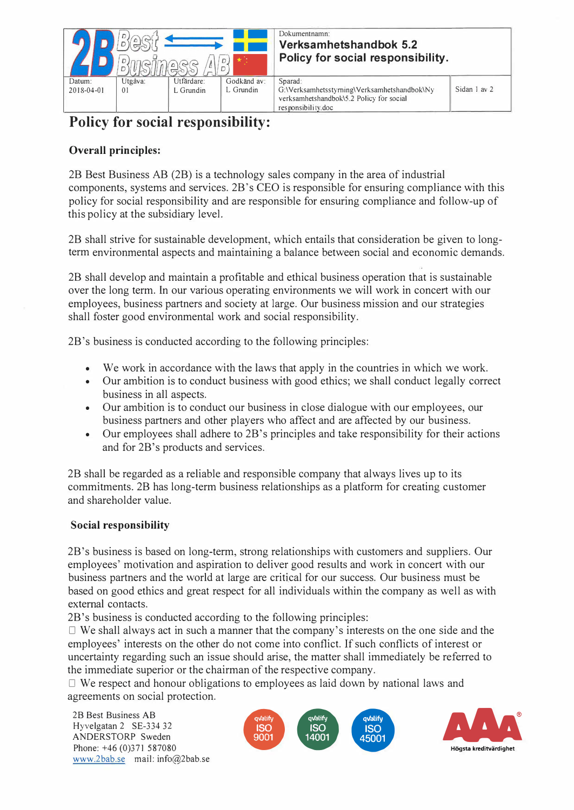

## Dokumentnamn: **Verksamhetshandbok 5.2 Policy for social responsibility.**

L Grundin G:\ Yerksamhetsstyming\Yerksamhetshandbok\Ny verksamhetshandbok\5.2 Policy for social responsibility.doc

## **Policy for social responsibility:**

## **Overall principles:**

2B Best Business AB (2B) is a technology sales company in the area of industrial components, systems and services. 2B's CEO is responsible for ensuring compliance with this policy for social responsibility and are responsible for ensuring compliance and follow-up of this policy at the subsidiary level.

2B shall strive for sustainable development, which entails that consideration be given to longterm environmental aspects and maintaining a balance between social and economic demands.

2B shall develop and maintain a profitable and ethical business operation that is sustainable over the long term. In our various operating environments we will work in concert with our employees, business partners and society at large. Our business mission and our strategies shall foster good environmental work and social responsibility.

2B 's business is conducted according to the following principles:

- We work in accordance with the laws that apply in the countries in which we work.
- Our ambition is to conduct business with good ethics; we shall conduct legally correct business in all aspects.
- Our ambition is to conduct our business in close dialogue with our employees, our business partners and other players who affect and are affected by our business.
- Our employees shall adhere to 2B's principles and take responsibility for their actions and for 2B's products and services.

2B shall be regarded as a reliable and responsible company that always lives up to its commitments. 2B has long-term business relationships as a platform for creating customer and shareholder value.

## **Social responsibility**

2B's business is based on long-term, strong relationships with customers and suppliers. Our employees' motivation and aspiration to deliver good results and work in concert with our business partners and the world at large are critical for our success. Our business must be based on good ethics and great respect for all individuals within the company as well as with extemal contacts.

2B's business is conducted according to the following principles:

 $\Box$  We shall always act in such a manner that the company's interests on the one side and the employees' interests on the other do not come into conflict. If such conflicts of interest or uncertainty regarding such an issue should arise, the matter shall immediately be referred to the immediate superior or the chairman of the respective company.

 $\Box$  We respect and honour obligations to employees as laid down by national laws and agreements on social protection.

28 Best Business AB Hyvelgatan 2 SE-334 32 ANDERSTORP Sweden Phone: +46 (0)371 587080 www.2bab.se mail: info@2bab.se